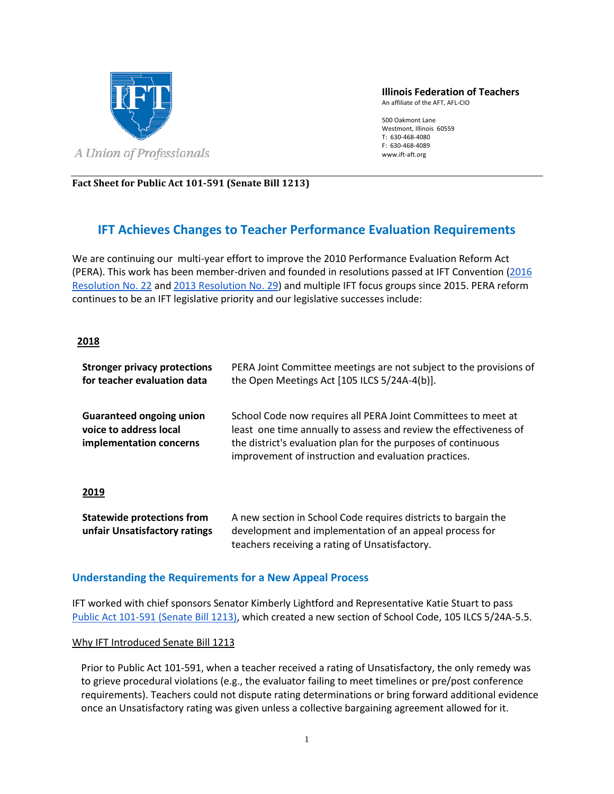

**Illinois Federation of Teachers**

An affiliate of the AFT, AFL-CIO

500 Oakmont Lane Westmont, Illinois 60559 T: 630-468-4080 F: 630-468-4089 www.ift-aft.org

**Fact Sheet for Public Act 101-591 (Senate Bill 1213)**

# **IFT Achieves Changes to Teacher Performance Evaluation Requirements**

We are continuing our multi-year effort to improve the 2010 Performance Evaluation Reform Act (PERA). This work has been member-driven and founded in resolutions passed at IFT Convention [\(2016](https://www.ift-aft.org/your-union/resolutions-constitution/2016-ift-resolutions/lists/2016-resolutions/resolution-no-22-support-for-implementation-of-performance-evaluation-systems)  [Resolution No. 22](https://www.ift-aft.org/your-union/resolutions-constitution/2016-ift-resolutions/lists/2016-resolutions/resolution-no-22-support-for-implementation-of-performance-evaluation-systems) and [2013 Resolution](https://www.ift-aft.org/your-union/resolutions-constitution/2013-ift-resolutions/lists/2013-ift-resolutions/resolution-no-29---support-for-effective-implementation-of-new-performance-evaluation-systems) No. 29) and multiple IFT focus groups since 2015. PERA reform continues to be an IFT legislative priority and our legislative successes include:

### **2018**

| <b>Stronger privacy protections</b><br>for teacher evaluation data                   | PERA Joint Committee meetings are not subject to the provisions of<br>the Open Meetings Act [105 ILCS 5/24A-4(b)].                                                                                                                                          |
|--------------------------------------------------------------------------------------|-------------------------------------------------------------------------------------------------------------------------------------------------------------------------------------------------------------------------------------------------------------|
| <b>Guaranteed ongoing union</b><br>voice to address local<br>implementation concerns | School Code now requires all PERA Joint Committees to meet at<br>least one time annually to assess and review the effectiveness of<br>the district's evaluation plan for the purposes of continuous<br>improvement of instruction and evaluation practices. |
| 2019                                                                                 |                                                                                                                                                                                                                                                             |
| <b>Statewide protections from</b><br>unfair Unsatisfactory ratings                   | A new section in School Code requires districts to bargain the<br>development and implementation of an appeal process for<br>teachers receiving a rating of Unsatisfactory.                                                                                 |

### **Understanding the Requirements for a New Appeal Process**

IFT worked with chief sponsors Senator Kimberly Lightford and Representative Katie Stuart to pass [Public Act 101-591 \(Senate Bill 1213\),](http://www.ilga.gov/legislation/publicacts/fulltext.asp?Name=101-0591&GA=101) which created a new section of School Code, 105 ILCS 5/24A-5.5.

#### Why IFT Introduced Senate Bill 1213

Prior to Public Act 101-591, when a teacher received a rating of Unsatisfactory, the only remedy was to grieve procedural violations (e.g., the evaluator failing to meet timelines or pre/post conference requirements). Teachers could not dispute rating determinations or bring forward additional evidence once an Unsatisfactory rating was given unless a collective bargaining agreement allowed for it.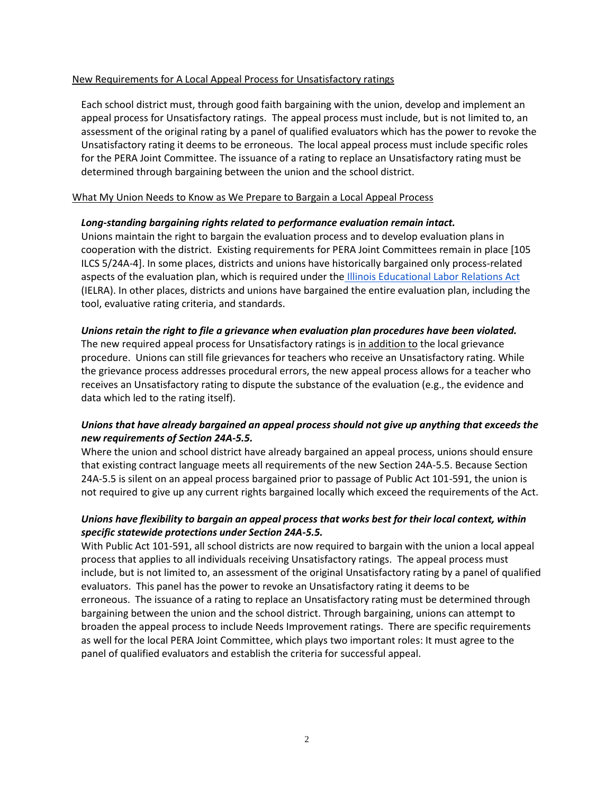#### New Requirements for A Local Appeal Process for Unsatisfactory ratings

Each school district must, through good faith bargaining with the union, develop and implement an appeal process for Unsatisfactory ratings. The appeal process must include, but is not limited to, an assessment of the original rating by a panel of qualified evaluators which has the power to revoke the Unsatisfactory rating it deems to be erroneous. The local appeal process must include specific roles for the PERA Joint Committee. The issuance of a rating to replace an Unsatisfactory rating must be determined through bargaining between the union and the school district.

#### What My Union Needs to Know as We Prepare to Bargain a Local Appeal Process

### *Long-standing bargaining rights related to performance evaluation remain intact.*

Unions maintain the right to bargain the evaluation process and to develop evaluation plans in cooperation with the district. Existing requirements for PERA Joint Committees remain in place [105 ILCS 5/24A-4]. In some places, districts and unions have historically bargained only process-related aspects of the evaluation plan, which is required under the [Illinois Educational Labor Relations Act](http://www.ilga.gov/legislation/ilcs/ilcs3.asp?ActID=1177&ChapterID=19) (IELRA). In other places, districts and unions have bargained the entire evaluation plan, including the tool, evaluative rating criteria, and standards.

#### *Unions retain the right to file a grievance when evaluation plan procedures have been violated.*

The new required appeal process for Unsatisfactory ratings is in addition to the local grievance procedure. Unions can still file grievances for teachers who receive an Unsatisfactory rating. While the grievance process addresses procedural errors, the new appeal process allows for a teacher who receives an Unsatisfactory rating to dispute the substance of the evaluation (e.g., the evidence and data which led to the rating itself).

# *Unions that have already bargained an appeal process should not give up anything that exceeds the new requirements of Section 24A-5.5.*

Where the union and school district have already bargained an appeal process, unions should ensure that existing contract language meets all requirements of the new Section 24A-5.5. Because Section 24A-5.5 is silent on an appeal process bargained prior to passage of Public Act 101-591, the union is not required to give up any current rights bargained locally which exceed the requirements of the Act.

## *Unions have flexibility to bargain an appeal process that works best for their local context, within specific statewide protections under Section 24A-5.5.*

With Public Act 101-591, all school districts are now required to bargain with the union a local appeal process that applies to all individuals receiving Unsatisfactory ratings. The appeal process must include, but is not limited to, an assessment of the original Unsatisfactory rating by a panel of qualified evaluators. This panel has the power to revoke an Unsatisfactory rating it deems to be erroneous. The issuance of a rating to replace an Unsatisfactory rating must be determined through bargaining between the union and the school district. Through bargaining, unions can attempt to broaden the appeal process to include Needs Improvement ratings. There are specific requirements as well for the local PERA Joint Committee, which plays two important roles: It must agree to the panel of qualified evaluators and establish the criteria for successful appeal.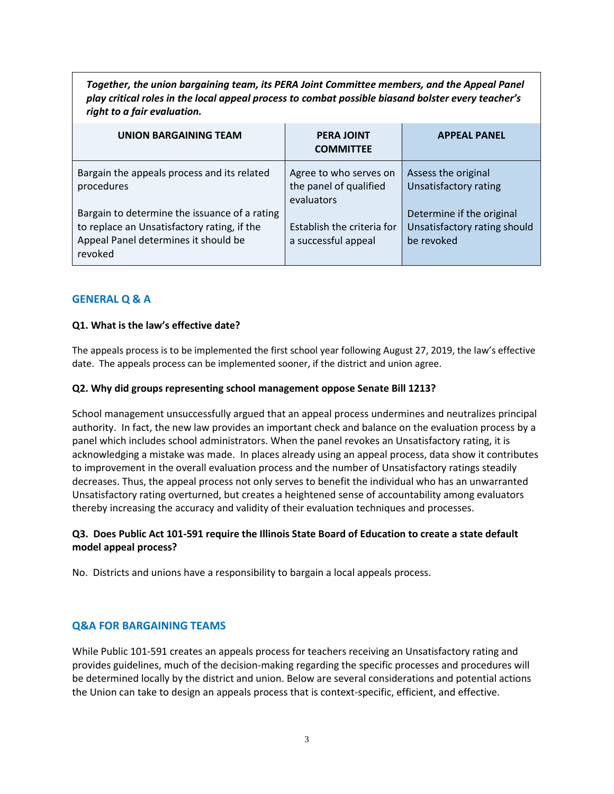*Together, the union bargaining team, its PERA Joint Committee members, and the Appeal Panel play critical roles in the local appeal process to combat possible biasand bolster every teacher's right to a fair evaluation.*

| <b>UNION BARGAINING TEAM</b>                                                                                                                    | <b>PERA JOINT</b><br><b>COMMITTEE</b>                          | <b>APPEAL PANEL</b>                                                     |
|-------------------------------------------------------------------------------------------------------------------------------------------------|----------------------------------------------------------------|-------------------------------------------------------------------------|
| Bargain the appeals process and its related<br>procedures                                                                                       | Agree to who serves on<br>the panel of qualified<br>evaluators | Assess the original<br><b>Unsatisfactory rating</b>                     |
| Bargain to determine the issuance of a rating<br>to replace an Unsatisfactory rating, if the<br>Appeal Panel determines it should be<br>revoked | Establish the criteria for<br>a successful appeal              | Determine if the original<br>Unsatisfactory rating should<br>be revoked |

### **GENERAL Q & A**

### **Q1. What is the law's effective date?**

The appeals process is to be implemented the first school year following August 27, 2019, the law's effective date. The appeals process can be implemented sooner, if the district and union agree.

#### **Q2. Why did groups representing school management oppose Senate Bill 1213?**

School management unsuccessfully argued that an appeal process undermines and neutralizes principal authority. In fact, the new law provides an important check and balance on the evaluation process by a panel which includes school administrators. When the panel revokes an Unsatisfactory rating, it is acknowledging a mistake was made. In places already using an appeal process, data show it contributes to improvement in the overall evaluation process and the number of Unsatisfactory ratings steadily decreases. Thus, the appeal process not only serves to benefit the individual who has an unwarranted Unsatisfactory rating overturned, but creates a heightened sense of accountability among evaluators thereby increasing the accuracy and validity of their evaluation techniques and processes.

## **Q3. Does Public Act 101-591 require the Illinois State Board of Education to create a state default model appeal process?**

No. Districts and unions have a responsibility to bargain a local appeals process.

### **Q&A FOR BARGAINING TEAMS**

While Public 101-591 creates an appeals process for teachers receiving an Unsatisfactory rating and provides guidelines, much of the decision-making regarding the specific processes and procedures will be determined locally by the district and union. Below are several considerations and potential actions the Union can take to design an appeals process that is context-specific, efficient, and effective.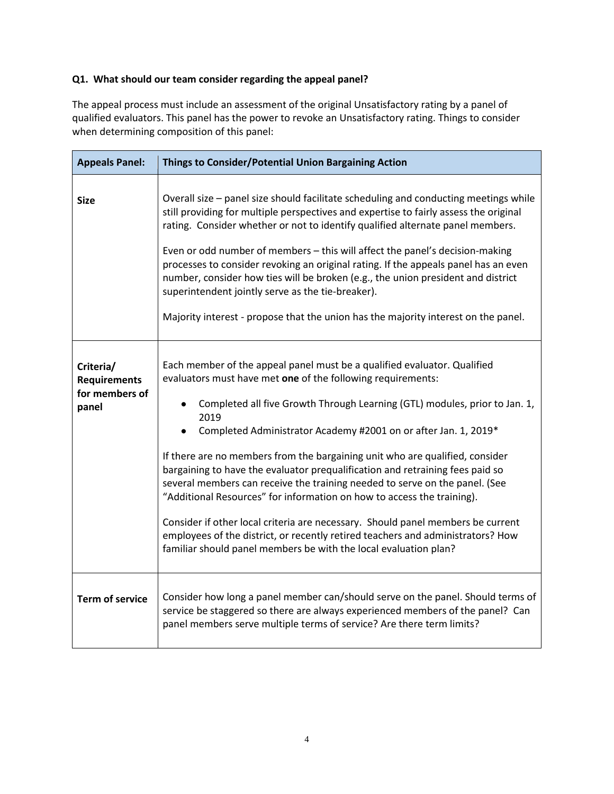# **Q1. What should our team consider regarding the appeal panel?**

The appeal process must include an assessment of the original Unsatisfactory rating by a panel of qualified evaluators. This panel has the power to revoke an Unsatisfactory rating. Things to consider when determining composition of this panel:

| <b>Appeals Panel:</b>                                       | Things to Consider/Potential Union Bargaining Action                                                                                                                                                                                                                                                                                                                                                                                                                                                                                                                                                                                                                                                                                                                                                                                                                 |
|-------------------------------------------------------------|----------------------------------------------------------------------------------------------------------------------------------------------------------------------------------------------------------------------------------------------------------------------------------------------------------------------------------------------------------------------------------------------------------------------------------------------------------------------------------------------------------------------------------------------------------------------------------------------------------------------------------------------------------------------------------------------------------------------------------------------------------------------------------------------------------------------------------------------------------------------|
| <b>Size</b>                                                 | Overall size - panel size should facilitate scheduling and conducting meetings while<br>still providing for multiple perspectives and expertise to fairly assess the original<br>rating. Consider whether or not to identify qualified alternate panel members.<br>Even or odd number of members - this will affect the panel's decision-making<br>processes to consider revoking an original rating. If the appeals panel has an even<br>number, consider how ties will be broken (e.g., the union president and district<br>superintendent jointly serve as the tie-breaker).<br>Majority interest - propose that the union has the majority interest on the panel.                                                                                                                                                                                                |
| Criteria/<br><b>Requirements</b><br>for members of<br>panel | Each member of the appeal panel must be a qualified evaluator. Qualified<br>evaluators must have met one of the following requirements:<br>Completed all five Growth Through Learning (GTL) modules, prior to Jan. 1,<br>2019<br>Completed Administrator Academy #2001 on or after Jan. 1, 2019*<br>If there are no members from the bargaining unit who are qualified, consider<br>bargaining to have the evaluator prequalification and retraining fees paid so<br>several members can receive the training needed to serve on the panel. (See<br>"Additional Resources" for information on how to access the training).<br>Consider if other local criteria are necessary. Should panel members be current<br>employees of the district, or recently retired teachers and administrators? How<br>familiar should panel members be with the local evaluation plan? |
| <b>Term of service</b>                                      | Consider how long a panel member can/should serve on the panel. Should terms of<br>service be staggered so there are always experienced members of the panel? Can<br>panel members serve multiple terms of service? Are there term limits?                                                                                                                                                                                                                                                                                                                                                                                                                                                                                                                                                                                                                           |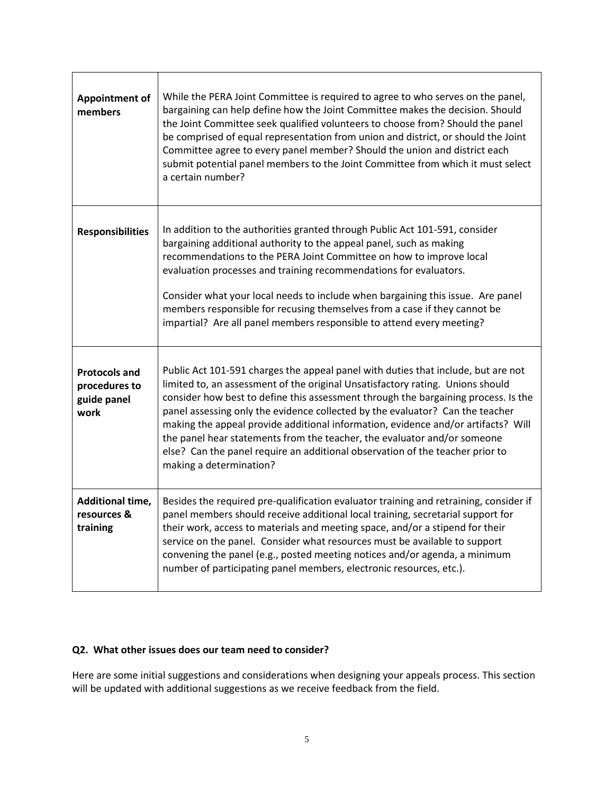| <b>Appointment of</b><br>members                             | While the PERA Joint Committee is required to agree to who serves on the panel,<br>bargaining can help define how the Joint Committee makes the decision. Should<br>the Joint Committee seek qualified volunteers to choose from? Should the panel<br>be comprised of equal representation from union and district, or should the Joint<br>Committee agree to every panel member? Should the union and district each<br>submit potential panel members to the Joint Committee from which it must select<br>a certain number?                                                                                            |
|--------------------------------------------------------------|-------------------------------------------------------------------------------------------------------------------------------------------------------------------------------------------------------------------------------------------------------------------------------------------------------------------------------------------------------------------------------------------------------------------------------------------------------------------------------------------------------------------------------------------------------------------------------------------------------------------------|
| <b>Responsibilities</b>                                      | In addition to the authorities granted through Public Act 101-591, consider<br>bargaining additional authority to the appeal panel, such as making<br>recommendations to the PERA Joint Committee on how to improve local<br>evaluation processes and training recommendations for evaluators.<br>Consider what your local needs to include when bargaining this issue. Are panel<br>members responsible for recusing themselves from a case if they cannot be<br>impartial? Are all panel members responsible to attend every meeting?                                                                                 |
| <b>Protocols and</b><br>procedures to<br>guide panel<br>work | Public Act 101-591 charges the appeal panel with duties that include, but are not<br>limited to, an assessment of the original Unsatisfactory rating. Unions should<br>consider how best to define this assessment through the bargaining process. Is the<br>panel assessing only the evidence collected by the evaluator? Can the teacher<br>making the appeal provide additional information, evidence and/or artifacts? Will<br>the panel hear statements from the teacher, the evaluator and/or someone<br>else? Can the panel require an additional observation of the teacher prior to<br>making a determination? |
| <b>Additional time,</b><br>resources &<br>training           | Besides the required pre-qualification evaluator training and retraining, consider if<br>panel members should receive additional local training, secretarial support for<br>their work, access to materials and meeting space, and/or a stipend for their<br>service on the panel. Consider what resources must be available to support<br>convening the panel (e.g., posted meeting notices and/or agenda, a minimum<br>number of participating panel members, electronic resources, etc.).                                                                                                                            |

## **Q2. What other issues does our team need to consider?**

Here are some initial suggestions and considerations when designing your appeals process. This section will be updated with additional suggestions as we receive feedback from the field.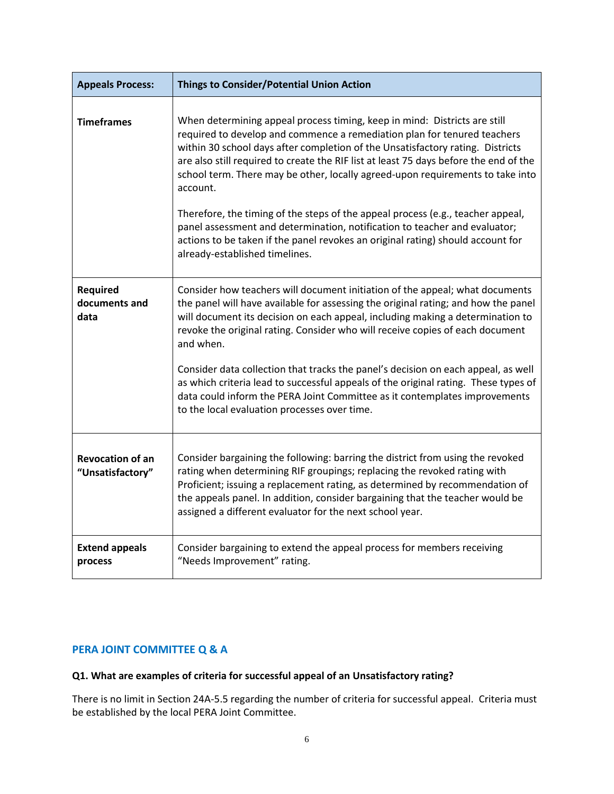| <b>Appeals Process:</b>                     | <b>Things to Consider/Potential Union Action</b>                                                                                                                                                                                                                                                                                                                                                                                                                                                                                                                                                                                                                                                                     |
|---------------------------------------------|----------------------------------------------------------------------------------------------------------------------------------------------------------------------------------------------------------------------------------------------------------------------------------------------------------------------------------------------------------------------------------------------------------------------------------------------------------------------------------------------------------------------------------------------------------------------------------------------------------------------------------------------------------------------------------------------------------------------|
| <b>Timeframes</b>                           | When determining appeal process timing, keep in mind: Districts are still<br>required to develop and commence a remediation plan for tenured teachers<br>within 30 school days after completion of the Unsatisfactory rating. Districts<br>are also still required to create the RIF list at least 75 days before the end of the<br>school term. There may be other, locally agreed-upon requirements to take into<br>account.<br>Therefore, the timing of the steps of the appeal process (e.g., teacher appeal,<br>panel assessment and determination, notification to teacher and evaluator;<br>actions to be taken if the panel revokes an original rating) should account for<br>already-established timelines. |
| Required<br>documents and<br>data           | Consider how teachers will document initiation of the appeal; what documents<br>the panel will have available for assessing the original rating; and how the panel<br>will document its decision on each appeal, including making a determination to<br>revoke the original rating. Consider who will receive copies of each document<br>and when.<br>Consider data collection that tracks the panel's decision on each appeal, as well<br>as which criteria lead to successful appeals of the original rating. These types of<br>data could inform the PERA Joint Committee as it contemplates improvements<br>to the local evaluation processes over time.                                                         |
| <b>Revocation of an</b><br>"Unsatisfactory" | Consider bargaining the following: barring the district from using the revoked<br>rating when determining RIF groupings; replacing the revoked rating with<br>Proficient; issuing a replacement rating, as determined by recommendation of<br>the appeals panel. In addition, consider bargaining that the teacher would be<br>assigned a different evaluator for the next school year.                                                                                                                                                                                                                                                                                                                              |
| <b>Extend appeals</b><br>process            | Consider bargaining to extend the appeal process for members receiving<br>"Needs Improvement" rating.                                                                                                                                                                                                                                                                                                                                                                                                                                                                                                                                                                                                                |

# **PERA JOINT COMMITTEE Q & A**

# **Q1. What are examples of criteria for successful appeal of an Unsatisfactory rating?**

There is no limit in Section 24A-5.5 regarding the number of criteria for successful appeal. Criteria must be established by the local PERA Joint Committee.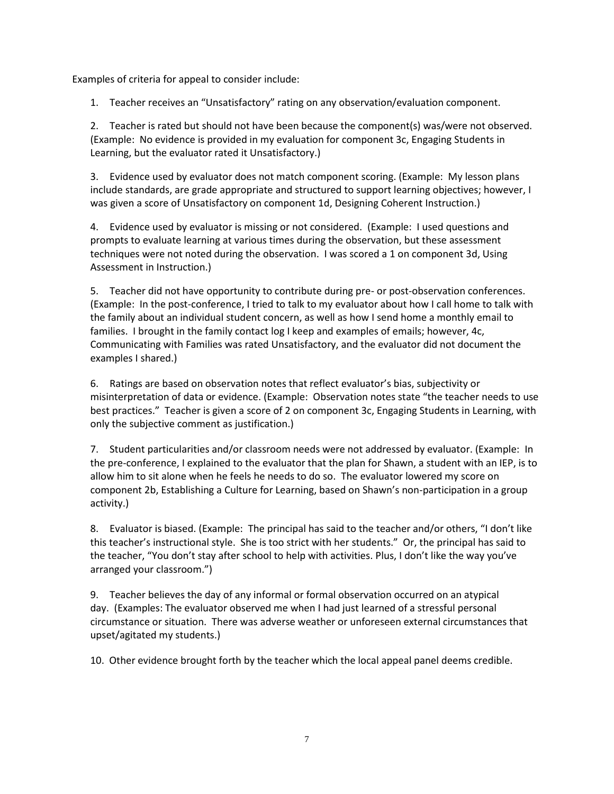Examples of criteria for appeal to consider include:

1. Teacher receives an "Unsatisfactory" rating on any observation/evaluation component.

2. Teacher is rated but should not have been because the component(s) was/were not observed. (Example: No evidence is provided in my evaluation for component 3c, Engaging Students in Learning, but the evaluator rated it Unsatisfactory.)

3. Evidence used by evaluator does not match component scoring. (Example: My lesson plans include standards, are grade appropriate and structured to support learning objectives; however, I was given a score of Unsatisfactory on component 1d, Designing Coherent Instruction.)

4. Evidence used by evaluator is missing or not considered. (Example: I used questions and prompts to evaluate learning at various times during the observation, but these assessment techniques were not noted during the observation. I was scored a 1 on component 3d, Using Assessment in Instruction.)

5. Teacher did not have opportunity to contribute during pre- or post-observation conferences. (Example: In the post-conference, I tried to talk to my evaluator about how I call home to talk with the family about an individual student concern, as well as how I send home a monthly email to families. I brought in the family contact log I keep and examples of emails; however, 4c, Communicating with Families was rated Unsatisfactory, and the evaluator did not document the examples I shared.)

6. Ratings are based on observation notes that reflect evaluator's bias, subjectivity or misinterpretation of data or evidence. (Example: Observation notes state "the teacher needs to use best practices." Teacher is given a score of 2 on component 3c, Engaging Students in Learning, with only the subjective comment as justification.)

7. Student particularities and/or classroom needs were not addressed by evaluator. (Example: In the pre-conference, I explained to the evaluator that the plan for Shawn, a student with an IEP, is to allow him to sit alone when he feels he needs to do so. The evaluator lowered my score on component 2b, Establishing a Culture for Learning, based on Shawn's non-participation in a group activity.)

8. Evaluator is biased. (Example: The principal has said to the teacher and/or others, "I don't like this teacher's instructional style. She is too strict with her students." Or, the principal has said to the teacher, "You don't stay after school to help with activities. Plus, I don't like the way you've arranged your classroom.")

9. Teacher believes the day of any informal or formal observation occurred on an atypical day. (Examples: The evaluator observed me when I had just learned of a stressful personal circumstance or situation. There was adverse weather or unforeseen external circumstances that upset/agitated my students.)

10. Other evidence brought forth by the teacher which the local appeal panel deems credible.